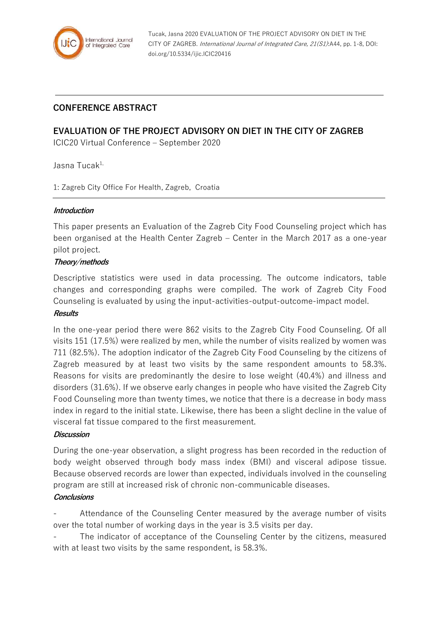

# **CONFERENCE ABSTRACT**

# **EVALUATION OF THE PROJECT ADVISORY ON DIET IN THE CITY OF ZAGREB**

ICIC20 Virtual Conference – September 2020

Jasna Tucak<sup>1,</sup>

1: Zagreb City Office For Health, Zagreb, Croatia

### **Introduction**

This paper presents an Evaluation of the Zagreb City Food Counseling project which has been organised at the Health Center Zagreb – Center in the March 2017 as a one-year pilot project.

### **Theory/methods**

Descriptive statistics were used in data processing. The outcome indicators, table changes and corresponding graphs were compiled. The work of Zagreb City Food Counseling is evaluated by using the input-activities-output-outcome-impact model.

## **Results**

In the one-year period there were 862 visits to the Zagreb City Food Counseling. Of all visits 151 (17.5%) were realized by men, while the number of visits realized by women was 711 (82.5%). The adoption indicator of the Zagreb City Food Counseling by the citizens of Zagreb measured by at least two visits by the same respondent amounts to 58.3%. Reasons for visits are predominantly the desire to lose weight (40.4%) and illness and disorders (31.6%). If we observe early changes in people who have visited the Zagreb City Food Counseling more than twenty times, we notice that there is a decrease in body mass index in regard to the initial state. Likewise, there has been a slight decline in the value of visceral fat tissue compared to the first measurement.

### **Discussion**

During the one-year observation, a slight progress has been recorded in the reduction of body weight observed through body mass index (BMI) and visceral adipose tissue. Because observed records are lower than expected, individuals involved in the counseling program are still at increased risk of chronic non-communicable diseases.

### **Conclusions**

- Attendance of the Counseling Center measured by the average number of visits over the total number of working days in the year is 3.5 visits per day.

The indicator of acceptance of the Counseling Center by the citizens, measured with at least two visits by the same respondent, is 58.3%.